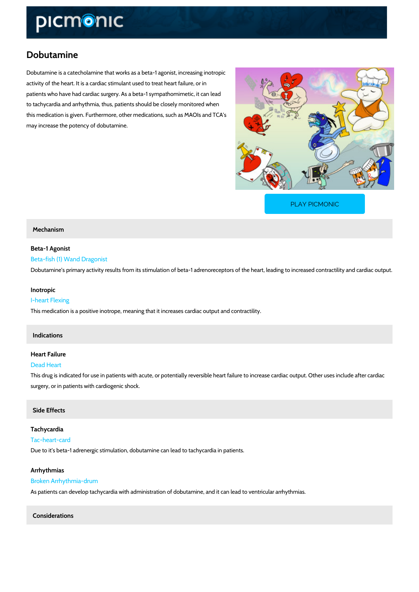# Dobutamine

Dobutamine is a catecholamine that works as a beta-1 agonist, increasing inotropic activity of the heart. It is a cardiac stimulant used to treat heart failure, or in patients who have had cardiac surgery. As a beta-1 sympathomimetic, it can lead to tachycardia and arrhythmia, thus, patients should be closely monitored when this medication is given. Furthermore, other medications, such as MAOIs and TCA s may increase the potency of dobutamine.

[PLAY PICMONIC](https://www.picmonic.com/learn/dobutamine_2033?utm_source=downloadable_content&utm_medium=distributedcontent&utm_campaign=pathways_pdf&utm_content=Dobutamine&utm_ad_group=leads&utm_market=all)

#### Mechanism

## Beta-1 Agonist Beta-fish (1) Wand Dragonist Dobutamine s primary activity results from its stimulation of beta-1 adrenoreceptors of the he

Inotropic

## I-heart Flexing This medication is a positive inotrope, meaning that it increases cardiac output and contractil

### Indications

## Heart Failure

#### Dead Heart

This drug is indicated for use in patients with acute, or potentially reversible heart failure to surgery, or in patients with cardiogenic shock.

#### Side Effects

Tachycardia Tac-heart-card Due to it s beta-1 adrenergic stimulation, dobutamine can lead to tachycardia in patients.

Arrhythmias Broken Arrhythmia-drum As patients can develop tachycardia with administration of dobutamine, and it can lead to ven

Considerations